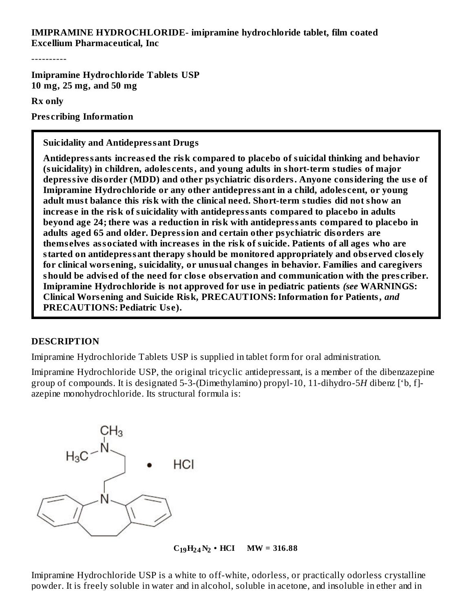#### **IMIPRAMINE HYDROCHLORIDE- imipramine hydrochloride tablet, film coated Excellium Pharmaceutical, Inc**

----------

**Imipramine Hydrochloride Tablets USP 10 mg, 25 mg, and 50 mg**

**Rx only**

**Pres cribing Information**

#### **Suicidality and Antidepressant Drugs**

**Antidepressants increas ed the risk compared to placebo of suicidal thinking and behavior (suicidality) in children, adoles cents, and young adults in short-term studies of major depressive disorder (MDD) and other psychiatric disorders. Anyone considering the us e of Imipramine Hydrochloride or any other antidepressant in a child, adoles cent, or young adult must balance this risk with the clinical need. Short-term studies did not show an increas e in the risk of suicidality with antidepressants compared to placebo in adults beyond age 24; there was a reduction in risk with antidepressants compared to placebo in adults aged 65 and older. Depression and certain other psychiatric disorders are thems elves associated with increas es in the risk of suicide. Patients of all ages who are started on antidepressant therapy should be monitored appropriately and obs erved clos ely for clinical wors ening, suicidality, or unusual changes in behavior. Families and caregivers should be advis ed of the need for clos e obs ervation and communication with the pres criber. Imipramine Hydrochloride is not approved for us e in pediatric patients** *(see* **WARNINGS: Clinical Wors ening and Suicide Risk, PRECAUTIONS:Information for Patients,** *and* **PRECAUTIONS: Pediatric Us e).**

#### **DESCRIPTION**

Imipramine Hydrochloride Tablets USP is supplied in tablet form for oral administration.

Imipramine Hydrochloride USP, the original tricyclic antidepressant, is a member of the dibenzazepine group of compounds. It is designated 5-3-(Dimethylamino) propyl-10, 11-dihydro-5*H* dibenz ['b, f] azepine monohydrochloride. Its structural formula is:



 $C_{19}H_{24}N_2 \cdot HCI$  **MW** = 316.88

Imipramine Hydrochloride USP is a white to off-white, odorless, or practically odorless crystalline powder. It is freely soluble in water and in alcohol, soluble in acetone, and insoluble in ether and in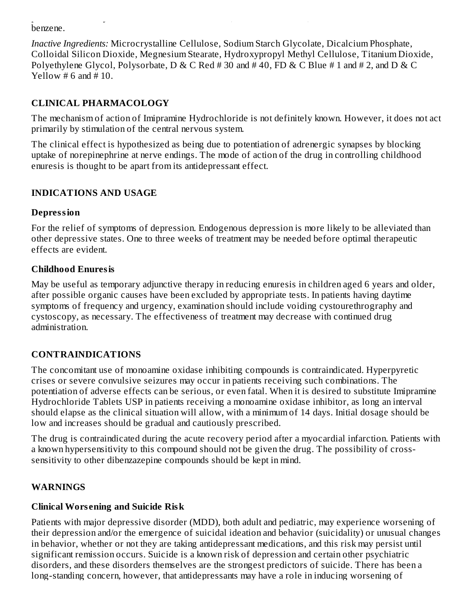powder. It is freely soluble in water and in alcohol, soluble in acetone, and insoluble in ether and in benzene.

*Inactive Ingredients:* Microcrystalline Cellulose, Sodium Starch Glycolate, Dicalcium Phosphate, Colloidal Silicon Dioxide, Megnesium Stearate, Hydroxypropyl Methyl Cellulose, Titanium Dioxide, Polyethylene Glycol, Polysorbate, D & C Red  $# 30$  and  $# 40$ , FD & C Blue  $# 1$  and  $# 2$ , and D & C Yellow  $\#$  6 and  $\#$  10.

### **CLINICAL PHARMACOLOGY**

The mechanism of action of Imipramine Hydrochloride is not definitely known. However, it does not act primarily by stimulation of the central nervous system.

The clinical effect is hypothesized as being due to potentiation of adrenergic synapses by blocking uptake of norepinephrine at nerve endings. The mode of action of the drug in controlling childhood enuresis is thought to be apart from its antidepressant effect.

#### **INDICATIONS AND USAGE**

#### **Depression**

For the relief of symptoms of depression. Endogenous depression is more likely to be alleviated than other depressive states. One to three weeks of treatment may be needed before optimal therapeutic effects are evident.

### **Childhood Enuresis**

May be useful as temporary adjunctive therapy in reducing enuresis in children aged 6 years and older, after possible organic causes have been excluded by appropriate tests. In patients having daytime symptoms of frequency and urgency, examination should include voiding cystourethrography and cystoscopy, as necessary. The effectiveness of treatment may decrease with continued drug administration.

### **CONTRAINDICATIONS**

The concomitant use of monoamine oxidase inhibiting compounds is contraindicated. Hyperpyretic crises or severe convulsive seizures may occur in patients receiving such combinations. The potentiation of adverse effects can be serious, or even fatal. When it is desired to substitute Imipramine Hydrochloride Tablets USP in patients receiving a monoamine oxidase inhibitor, as long an interval should elapse as the clinical situation will allow, with a minimum of 14 days. Initial dosage should be low and increases should be gradual and cautiously prescribed.

The drug is contraindicated during the acute recovery period after a myocardial infarction. Patients with a known hypersensitivity to this compound should not be given the drug. The possibility of crosssensitivity to other dibenzazepine compounds should be kept in mind.

### **WARNINGS**

### **Clinical Wors ening and Suicide Risk**

Patients with major depressive disorder (MDD), both adult and pediatric, may experience worsening of their depression and/or the emergence of suicidal ideation and behavior (suicidality) or unusual changes in behavior, whether or not they are taking antidepressant medications, and this risk may persist until significant remission occurs. Suicide is a known risk of depression and certain other psychiatric disorders, and these disorders themselves are the strongest predictors of suicide. There has been a long-standing concern, however, that antidepressants may have a role in inducing worsening of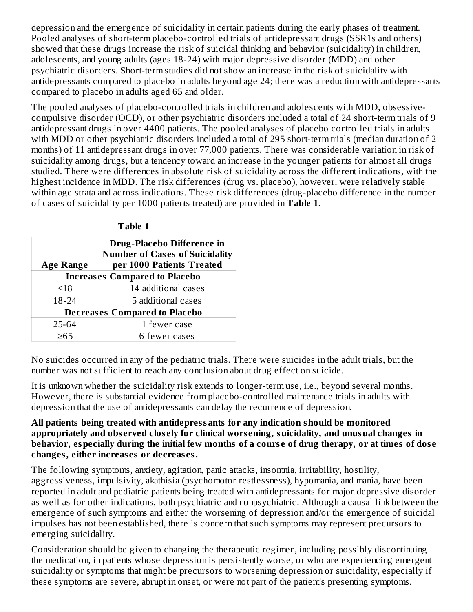depression and the emergence of suicidality in certain patients during the early phases of treatment. Pooled analyses of short-term placebo-controlled trials of antidepressant drugs (SSR1s and others) showed that these drugs increase the risk of suicidal thinking and behavior (suicidality) in children, adolescents, and young adults (ages 18-24) with major depressive disorder (MDD) and other psychiatric disorders. Short-term studies did not show an increase in the risk of suicidality with antidepressants compared to placebo in adults beyond age 24; there was a reduction with antidepressants compared to placebo in adults aged 65 and older.

The pooled analyses of placebo-controlled trials in children and adolescents with MDD, obsessivecompulsive disorder (OCD), or other psychiatric disorders included a total of 24 short-term trials of 9 antidepressant drugs in over 4400 patients. The pooled analyses of placebo controlled trials in adults with MDD or other psychiatric disorders included a total of 295 short-term trials (median duration of 2 months) of 11 antidepressant drugs in over 77,000 patients. There was considerable variation in risk of suicidality among drugs, but a tendency toward an increase in the younger patients for almost all drugs studied. There were differences in absolute risk of suicidality across the different indications, with the highest incidence in MDD. The risk differences (drug vs. placebo), however, were relatively stable within age strata and across indications. These risk differences (drug-placebo difference in the number of cases of suicidality per 1000 patients treated) are provided in **Table 1**.

| <b>Age Range</b> | <b>Drug-Placebo Difference in</b><br><b>Number of Cases of Suicidality</b><br>per 1000 Patients Treated |  |  |  |  |
|------------------|---------------------------------------------------------------------------------------------------------|--|--|--|--|
|                  | <b>Increases Compared to Placebo</b>                                                                    |  |  |  |  |
| < 18             | 14 additional cases                                                                                     |  |  |  |  |
| $18 - 24$        | 5 additional cases                                                                                      |  |  |  |  |
|                  | <b>Decreases Compared to Placebo</b>                                                                    |  |  |  |  |
| 25-64            | 1 fewer case                                                                                            |  |  |  |  |
| >65              | 6 fewer cases                                                                                           |  |  |  |  |

| anı |  |
|-----|--|
|-----|--|

No suicides occurred in any of the pediatric trials. There were suicides in the adult trials, but the number was not sufficient to reach any conclusion about drug effect on suicide.

It is unknown whether the suicidality risk extends to longer-term use, i.e., beyond several months. However, there is substantial evidence from placebo-controlled maintenance trials in adults with depression that the use of antidepressants can delay the recurrence of depression.

#### **All patients being treated with antidepressants for any indication should be monitored appropriately and obs erved clos ely for clinical wors ening, suicidality, and unusual changes in** behavior, especially during the initial few months of a course of drug therapy, or at times of dose **changes, either increas es or decreas es.**

The following symptoms, anxiety, agitation, panic attacks, insomnia, irritability, hostility, aggressiveness, impulsivity, akathisia (psychomotor restlessness), hypomania, and mania, have been reported in adult and pediatric patients being treated with antidepressants for major depressive disorder as well as for other indications, both psychiatric and nonpsychiatric. Although a causal link between the emergence of such symptoms and either the worsening of depression and/or the emergence of suicidal impulses has not been established, there is concern that such symptoms may represent precursors to emerging suicidality.

Consideration should be given to changing the therapeutic regimen, including possibly discontinuing the medication, in patients whose depression is persistently worse, or who are experiencing emergent suicidality or symptoms that might be precursors to worsening depression or suicidality, especially if these symptoms are severe, abrupt in onset, or were not part of the patient's presenting symptoms.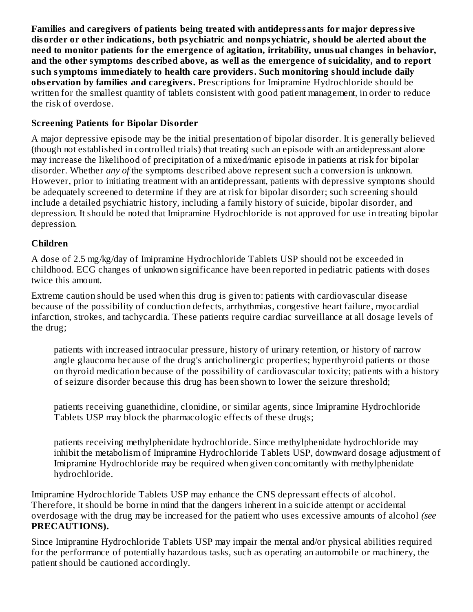**Families and caregivers of patients being treated with antidepressants for major depressive disorder or other indications, both psychiatric and nonpsychiatric, should be alerted about the need to monitor patients for the emergence of agitation, irritability, unusual changes in behavior, and the other symptoms des cribed above, as well as the emergence of suicidality, and to report such symptoms immediately to health care providers. Such monitoring should include daily obs ervation by families and caregivers.** Prescriptions for Imipramine Hydrochloride should be written for the smallest quantity of tablets consistent with good patient management, in order to reduce the risk of overdose.

#### **Screening Patients for Bipolar Disorder**

A major depressive episode may be the initial presentation of bipolar disorder. It is generally believed (though not established in controlled trials) that treating such an episode with an antidepressant alone may increase the likelihood of precipitation of a mixed/manic episode in patients at risk for bipolar disorder. Whether *any of* the symptoms described above represent such a conversion is unknown. However, prior to initiating treatment with an antidepressant, patients with depressive symptoms should be adequately screened to determine if they are at risk for bipolar disorder; such screening should include a detailed psychiatric history, including a family history of suicide, bipolar disorder, and depression. It should be noted that Imipramine Hydrochloride is not approved for use in treating bipolar depression.

#### **Children**

A dose of 2.5 mg/kg/day of Imipramine Hydrochloride Tablets USP should not be exceeded in childhood. ECG changes of unknown significance have been reported in pediatric patients with doses twice this amount.

Extreme caution should be used when this drug is given to: patients with cardiovascular disease because of the possibility of conduction defects, arrhythmias, congestive heart failure, myocardial infarction, strokes, and tachycardia. These patients require cardiac surveillance at all dosage levels of the drug;

patients with increased intraocular pressure, history of urinary retention, or history of narrow angle glaucoma because of the drug's anticholinergic properties; hyperthyroid patients or those on thyroid medication because of the possibility of cardiovascular toxicity; patients with a history of seizure disorder because this drug has been shown to lower the seizure threshold;

patients receiving guanethidine, clonidine, or similar agents, since Imipramine Hydrochloride Tablets USP may block the pharmacologic effects of these drugs;

patients receiving methylphenidate hydrochloride. Since methylphenidate hydrochloride may inhibit the metabolism of Imipramine Hydrochloride Tablets USP, downward dosage adjustment of Imipramine Hydrochloride may be required when given concomitantly with methylphenidate hydrochloride.

Imipramine Hydrochloride Tablets USP may enhance the CNS depressant effects of alcohol. Therefore, it should be borne in mind that the dangers inherent in a suicide attempt or accidental overdosage with the drug may be increased for the patient who uses excessive amounts of alcohol *(see* **PRECAUTIONS).**

Since Imipramine Hydrochloride Tablets USP may impair the mental and/or physical abilities required for the performance of potentially hazardous tasks, such as operating an automobile or machinery, the patient should be cautioned accordingly.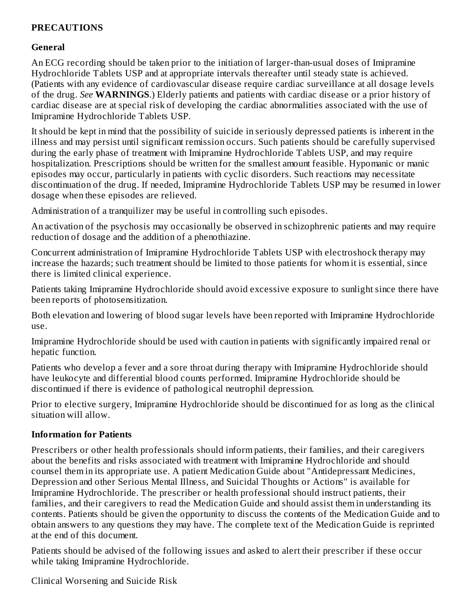### **PRECAUTIONS**

#### **General**

An ECG recording should be taken prior to the initiation of larger-than-usual doses of Imipramine Hydrochloride Tablets USP and at appropriate intervals thereafter until steady state is achieved. (Patients with any evidence of cardiovascular disease require cardiac surveillance at all dosage levels of the drug. *See* **WARNINGS**.) Elderly patients and patients with cardiac disease or a prior history of cardiac disease are at special risk of developing the cardiac abnormalities associated with the use of Imipramine Hydrochloride Tablets USP.

It should be kept in mind that the possibility of suicide in seriously depressed patients is inherent in the illness and may persist until significant remission occurs. Such patients should be carefully supervised during the early phase of treatment with Imipramine Hydrochloride Tablets USP, and may require hospitalization. Prescriptions should be written for the smallest amount feasible. Hypomanic or manic episodes may occur, particularly in patients with cyclic disorders. Such reactions may necessitate discontinuation of the drug. If needed, Imipramine Hydrochloride Tablets USP may be resumed in lower dosage when these episodes are relieved.

Administration of a tranquilizer may be useful in controlling such episodes.

An activation of the psychosis may occasionally be observed in schizophrenic patients and may require reduction of dosage and the addition of a phenothiazine.

Concurrent administration of Imipramine Hydrochloride Tablets USP with electroshock therapy may increase the hazards; such treatment should be limited to those patients for whom it is essential, since there is limited clinical experience.

Patients taking Imipramine Hydrochloride should avoid excessive exposure to sunlight since there have been reports of photosensitization.

Both elevation and lowering of blood sugar levels have been reported with Imipramine Hydrochloride use.

Imipramine Hydrochloride should be used with caution in patients with significantly impaired renal or hepatic function.

Patients who develop a fever and a sore throat during therapy with Imipramine Hydrochloride should have leukocyte and differential blood counts performed. Imipramine Hydrochloride should be discontinued if there is evidence of pathological neutrophil depression.

Prior to elective surgery, Imipramine Hydrochloride should be discontinued for as long as the clinical situation will allow.

#### **Information for Patients**

Prescribers or other health professionals should inform patients, their families, and their caregivers about the benefits and risks associated with treatment with Imipramine Hydrochloride and should counsel them in its appropriate use. A patient Medication Guide about "Antidepressant Medicines, Depression and other Serious Mental Illness, and Suicidal Thoughts or Actions" is available for Imipramine Hydrochloride. The prescriber or health professional should instruct patients, their families, and their caregivers to read the Medication Guide and should assist them in understanding its contents. Patients should be given the opportunity to discuss the contents of the Medication Guide and to obtain answers to any questions they may have. The complete text of the Medication Guide is reprinted at the end of this document.

Patients should be advised of the following issues and asked to alert their prescriber if these occur while taking Imipramine Hydrochloride.

Clinical Worsening and Suicide Risk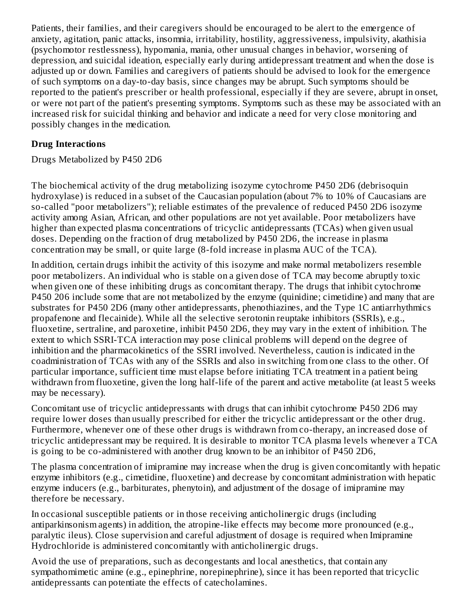Patients, their families, and their caregivers should be encouraged to be alert to the emergence of anxiety, agitation, panic attacks, insomnia, irritability, hostility, aggressiveness, impulsivity, akathisia (psychomotor restlessness), hypomania, mania, other unusual changes in behavior, worsening of depression, and suicidal ideation, especially early during antidepressant treatment and when the dose is adjusted up or down. Families and caregivers of patients should be advised to look for the emergence of such symptoms on a day-to-day basis, since changes may be abrupt. Such symptoms should be reported to the patient's prescriber or health professional, especially if they are severe, abrupt in onset, or were not part of the patient's presenting symptoms. Symptoms such as these may be associated with an increased risk for suicidal thinking and behavior and indicate a need for very close monitoring and possibly changes in the medication.

#### **Drug Interactions**

Drugs Metabolized by P450 2D6

The biochemical activity of the drug metabolizing isozyme cytochrome P450 2D6 (debrisoquin hydroxylase) is reduced in a subset of the Caucasian population (about 7% to 10% of Caucasians are so-called "poor metabolizers"); reliable estimates of the prevalence of reduced P450 2D6 isozyme activity among Asian, African, and other populations are not yet available. Poor metabolizers have higher than expected plasma concentrations of tricyclic antidepressants (TCAs) when given usual doses. Depending on the fraction of drug metabolized by P450 2D6, the increase in plasma concentration may be small, or quite large (8-fold increase in plasma AUC of the TCA).

In addition, certain drugs inhibit the activity of this isozyme and make normal metabolizers resemble poor metabolizers. An individual who is stable on a given dose of TCA may become abruptly toxic when given one of these inhibiting drugs as concomitant therapy. The drugs that inhibit cytochrome P450 206 include some that are not metabolized by the enzyme (quinidine; cimetidine) and many that are substrates for P450 2D6 (many other antidepressants, phenothiazines, and the Type 1C antiarrhythmics propafenone and flecainide). While all the selective serotonin reuptake inhibitors (SSRIs), e.g., fluoxetine, sertraline, and paroxetine, inhibit P450 2D6, they may vary in the extent of inhibition. The extent to which SSRI-TCA interaction may pose clinical problems will depend on the degree of inhibition and the pharmacokinetics of the SSRI involved. Nevertheless, caution is indicated in the coadministration of TCAs with any of the SSRIs and also in switching from one class to the other. Of particular importance, sufficient time must elapse before initiating TCA treatment in a patient being withdrawn from fluoxetine, given the long half-life of the parent and active metabolite (at least 5 weeks may be necessary).

Concomitant use of tricyclic antidepressants with drugs that can inhibit cytochrome P450 2D6 may require lower doses than usually prescribed for either the tricyclic antidepressant or the other drug. Furthermore, whenever one of these other drugs is withdrawn from co-therapy, an increased dose of tricyclic antidepressant may be required. It is desirable to monitor TCA plasma levels whenever a TCA is going to be co-administered with another drug known to be an inhibitor of P450 2D6,

The plasma concentration of imipramine may increase when the drug is given concomitantly with hepatic enzyme inhibitors (e.g., cimetidine, fluoxetine) and decrease by concomitant administration with hepatic enzyme inducers (e.g., barbiturates, phenytoin), and adjustment of the dosage of imipramine may therefore be necessary.

In occasional susceptible patients or in those receiving anticholinergic drugs (including antiparkinsonism agents) in addition, the atropine-like effects may become more pronounced (e.g., paralytic ileus). Close supervision and careful adjustment of dosage is required when Imipramine Hydrochloride is administered concomitantly with anticholinergic drugs.

Avoid the use of preparations, such as decongestants and local anesthetics, that contain any sympathomimetic amine (e.g., epinephrine, norepinephrine), since it has been reported that tricyclic antidepressants can potentiate the effects of catecholamines.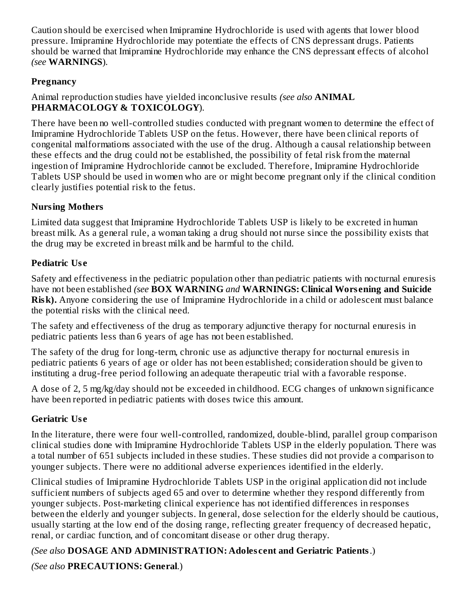Caution should be exercised when Imipramine Hydrochloride is used with agents that lower blood pressure. Imipramine Hydrochloride may potentiate the effects of CNS depressant drugs. Patients should be warned that Imipramine Hydrochloride may enhance the CNS depressant effects of alcohol *(see* **WARNINGS**).

## **Pregnancy**

Animal reproduction studies have yielded inconclusive results *(see also* **ANIMAL PHARMACOLOGY & TOXICOLOGY**).

There have been no well-controlled studies conducted with pregnant women to determine the effect of Imipramine Hydrochloride Tablets USP on the fetus. However, there have been clinical reports of congenital malformations associated with the use of the drug. Although a causal relationship between these effects and the drug could not be established, the possibility of fetal risk from the maternal ingestion of Imipramine Hydrochloride cannot be excluded. Therefore, Imipramine Hydrochloride Tablets USP should be used in women who are or might become pregnant only if the clinical condition clearly justifies potential risk to the fetus.

## **Nursing Mothers**

Limited data suggest that Imipramine Hydrochloride Tablets USP is likely to be excreted in human breast milk. As a general rule, a woman taking a drug should not nurse since the possibility exists that the drug may be excreted in breast milk and be harmful to the child.

## **Pediatric Us e**

Safety and effectiveness in the pediatric population other than pediatric patients with nocturnal enuresis have not been established *(see* **BOX WARNING** *and* **WARNINGS: Clinical Wors ening and Suicide Risk).** Anyone considering the use of Imipramine Hydrochloride in a child or adolescent must balance the potential risks with the clinical need.

The safety and effectiveness of the drug as temporary adjunctive therapy for nocturnal enuresis in pediatric patients less than 6 years of age has not been established.

The safety of the drug for long-term, chronic use as adjunctive therapy for nocturnal enuresis in pediatric patients 6 years of age or older has not been established; consideration should be given to instituting a drug-free period following an adequate therapeutic trial with a favorable response.

A dose of 2, 5 mg/kg/day should not be exceeded in childhood. ECG changes of unknown significance have been reported in pediatric patients with doses twice this amount.

## **Geriatric Us e**

In the literature, there were four well-controlled, randomized, double-blind, parallel group comparison clinical studies done with Imipramine Hydrochloride Tablets USP in the elderly population. There was a total number of 651 subjects included in these studies. These studies did not provide a comparison to younger subjects. There were no additional adverse experiences identified in the elderly.

Clinical studies of Imipramine Hydrochloride Tablets USP in the original application did not include sufficient numbers of subjects aged 65 and over to determine whether they respond differently from younger subjects. Post-marketing clinical experience has not identified differences in responses between the elderly and younger subjects. In general, dose selection for the elderly should be cautious, usually starting at the low end of the dosing range, reflecting greater frequency of decreased hepatic, renal, or cardiac function, and of concomitant disease or other drug therapy.

## *(See also* **DOSAGE AND ADMINISTRATION: Adoles cent and Geriatric Patients**.)

*(See also* **PRECAUTIONS: General**.)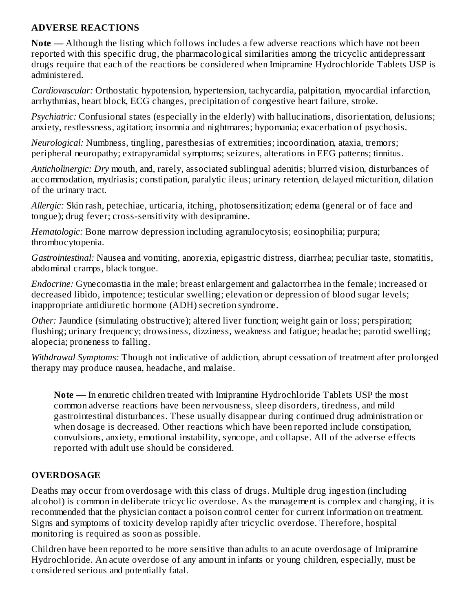#### **ADVERSE REACTIONS**

**Note —** Although the listing which follows includes a few adverse reactions which have not been reported with this specific drug, the pharmacological similarities among the tricyclic antidepressant drugs require that each of the reactions be considered when Imipramine Hydrochloride Tablets USP is administered.

*Cardiovascular:* Orthostatic hypotension, hypertension, tachycardia, palpitation, myocardial infarction, arrhythmias, heart block, ECG changes, precipitation of congestive heart failure, stroke.

*Psychiatric:* Confusional states (especially in the elderly) with hallucinations, disorientation, delusions; anxiety, restlessness, agitation; insomnia and nightmares; hypomania; exacerbation of psychosis.

*Neurological:* Numbness, tingling, paresthesias of extremities; incoordination, ataxia, tremors; peripheral neuropathy; extrapyramidal symptoms; seizures, alterations in EEG patterns; tinnitus.

*Anticholinergic: Dry* mouth, and, rarely, associated sublingual adenitis; blurred vision, disturbances of accommodation, mydriasis; constipation, paralytic ileus; urinary retention, delayed micturition, dilation of the urinary tract.

*Allergic:* Skin rash, petechiae, urticaria, itching, photosensitization; edema (general or of face and tongue); drug fever; cross-sensitivity with desipramine.

*Hematologic:* Bone marrow depression including agranulocytosis; eosinophilia; purpura; thrombocytopenia.

*Gastrointestinal:* Nausea and vomiting, anorexia, epigastric distress, diarrhea; peculiar taste, stomatitis, abdominal cramps, black tongue.

*Endocrine:* Gynecomastia in the male; breast enlargement and galactorrhea in the female; increased or decreased libido, impotence; testicular swelling; elevation or depression of blood sugar levels; inappropriate antidiuretic hormone (ADH) secretion syndrome.

*Other:* Jaundice (simulating obstructive); altered liver function; weight gain or loss; perspiration; flushing; urinary frequency; drowsiness, dizziness, weakness and fatigue; headache; parotid swelling; alopecia; proneness to falling.

*Withdrawal Symptoms:* Though not indicative of addiction, abrupt cessation of treatment after prolonged therapy may produce nausea, headache, and malaise.

**Note** — In enuretic children treated with Imipramine Hydrochloride Tablets USP the most common adverse reactions have been nervousness, sleep disorders, tiredness, and mild gastrointestinal disturbances. These usually disappear during continued drug administration or when dosage is decreased. Other reactions which have been reported include constipation, convulsions, anxiety, emotional instability, syncope, and collapse. All of the adverse effects reported with adult use should be considered.

## **OVERDOSAGE**

Deaths may occur from overdosage with this class of drugs. Multiple drug ingestion (including alcohol) is common in deliberate tricyclic overdose. As the management is complex and changing, it is recommended that the physician contact a poison control center for current information on treatment. Signs and symptoms of toxicity develop rapidly after tricyclic overdose. Therefore, hospital monitoring is required as soon as possible.

Children have been reported to be more sensitive than adults to an acute overdosage of Imipramine Hydrochloride. An acute overdose of any amount in infants or young children, especially, must be considered serious and potentially fatal.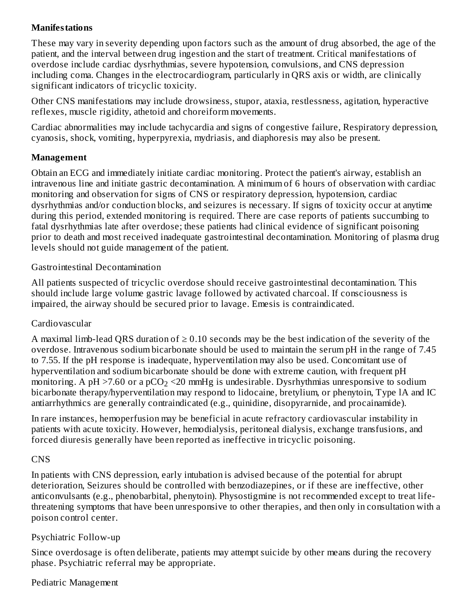#### **Manifestations**

These may vary in severity depending upon factors such as the amount of drug absorbed, the age of the patient, and the interval between drug ingestion and the start of treatment. Critical manifestations of overdose include cardiac dysrhythmias, severe hypotension, convulsions, and CNS depression including coma. Changes in the electrocardiogram, particularly in QRS axis or width, are clinically significant indicators of tricyclic toxicity.

Other CNS manifestations may include drowsiness, stupor, ataxia, restlessness, agitation, hyperactive reflexes, muscle rigidity, athetoid and choreiform movements.

Cardiac abnormalities may include tachycardia and signs of congestive failure, Respiratory depression, cyanosis, shock, vomiting, hyperpyrexia, mydriasis, and diaphoresis may also be present.

#### **Management**

Obtain an ECG and immediately initiate cardiac monitoring. Protect the patient's airway, establish an intravenous line and initiate gastric decontamination. A minimum of 6 hours of observation with cardiac monitoring and observation for signs of CNS or respiratory depression, hypotension, cardiac dysrhythmias and/or conduction blocks, and seizures is necessary. If signs of toxicity occur at anytime during this period, extended monitoring is required. There are case reports of patients succumbing to fatal dysrhythmias late after overdose; these patients had clinical evidence of significant poisoning prior to death and most received inadequate gastrointestinal decontamination. Monitoring of plasma drug levels should not guide management of the patient.

#### Gastrointestinal Decontamination

All patients suspected of tricyclic overdose should receive gastrointestinal decontamination. This should include large volume gastric lavage followed by activated charcoal. If consciousness is impaired, the airway should be secured prior to lavage. Emesis is contraindicated.

### Cardiovascular

A maximal limb-lead QRS duration of  $\geq 0.10$  seconds may be the best indication of the severity of the overdose. Intravenous sodium bicarbonate should be used to maintain the serum pH in the range of 7.45 to 7.55. If the pH response is inadequate, hyperventilation may also be used. Concomitant use of hyperventilation and sodium bicarbonate should be done with extreme caution, with frequent pH monitoring. A pH >7.60 or a pCO $_2$  <20 mmHg is undesirable. Dysrhythmias unresponsive to sodium bicarbonate therapy/hyperventilation may respond to lidocaine, bretylium, or phenytoin, Type lA and IC antiarrhythmics are generally contraindicated (e.g., quinidine, disopyrarnide, and procainamide).

In rare instances, hemoperfusion may be beneficial in acute refractory cardiovascular instability in patients with acute toxicity. However, hemodialysis, peritoneal dialysis, exchange transfusions, and forced diuresis generally have been reported as ineffective in tricyclic poisoning.

### CNS

In patients with CNS depression, early intubation is advised because of the potential for abrupt deterioration, Seizures should be controlled with benzodiazepines, or if these are ineffective, other anticonvulsants (e.g., phenobarbital, phenytoin). Physostigmine is not recommended except to treat lifethreatening symptoms that have been unresponsive to other therapies, and then only in consultation with a poison control center.

### Psychiatric Follow-up

Since overdosage is often deliberate, patients may attempt suicide by other means during the recovery phase. Psychiatric referral may be appropriate.

#### Pediatric Management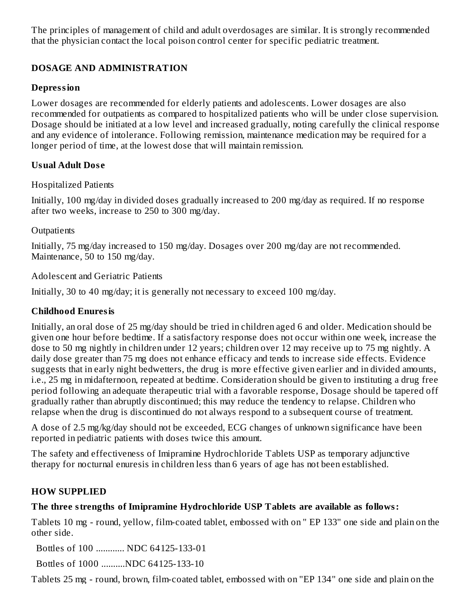The principles of management of child and adult overdosages are similar. It is strongly recommended that the physician contact the local poison control center for specific pediatric treatment.

#### **DOSAGE AND ADMINISTRATION**

#### **Depression**

Lower dosages are recommended for elderly patients and adolescents. Lower dosages are also recommended for outpatients as compared to hospitalized patients who will be under close supervision. Dosage should be initiated at a low level and increased gradually, noting carefully the clinical response and any evidence of intolerance. Following remission, maintenance medication may be required for a longer period of time, at the lowest dose that will maintain remission.

#### **Usual Adult Dos e**

#### Hospitalized Patients

Initially, 100 mg/day in divided doses gradually increased to 200 mg/day as required. If no response after two weeks, increase to 250 to 300 mg/day.

#### **Outpatients**

Initially, 75 mg/day increased to 150 mg/day. Dosages over 200 mg/day are not recommended. Maintenance, 50 to 150 mg/day.

Adolescent and Geriatric Patients

Initially, 30 to 40 mg/day; it is generally not necessary to exceed 100 mg/day.

### **Childhood Enuresis**

Initially, an oral dose of 25 mg/day should be tried in children aged 6 and older. Medication should be given one hour before bedtime. If a satisfactory response does not occur within one week, increase the dose to 50 mg nightly in children under 12 years; children over 12 may receive up to 75 mg nightly. A daily dose greater than 75 mg does not enhance efficacy and tends to increase side effects. Evidence suggests that in early night bedwetters, the drug is more effective given earlier and in divided amounts, i.e., 25 mg in midafternoon, repeated at bedtime. Consideration should be given to instituting a drug free period following an adequate therapeutic trial with a favorable response, Dosage should be tapered off gradually rather than abruptly discontinued; this may reduce the tendency to relapse. Children who relapse when the drug is discontinued do not always respond to a subsequent course of treatment.

A dose of 2.5 mg/kg/day should not be exceeded, ECG changes of unknown significance have been reported in pediatric patients with doses twice this amount.

The safety and effectiveness of Imipramine Hydrochloride Tablets USP as temporary adjunctive therapy for nocturnal enuresis in children less than 6 years of age has not been established.

### **HOW SUPPLIED**

### **The three strengths of Imipramine Hydrochloride USP Tablets are available as follows:**

Tablets 10 mg - round, yellow, film-coated tablet, embossed with on " EP 133" one side and plain on the other side.

Bottles of 100 ............ NDC 64125-133-01

Bottles of 1000 ..........NDC 64125-133-10

Tablets 25 mg - round, brown, film-coated tablet, embossed with on "EP 134" one side and plain on the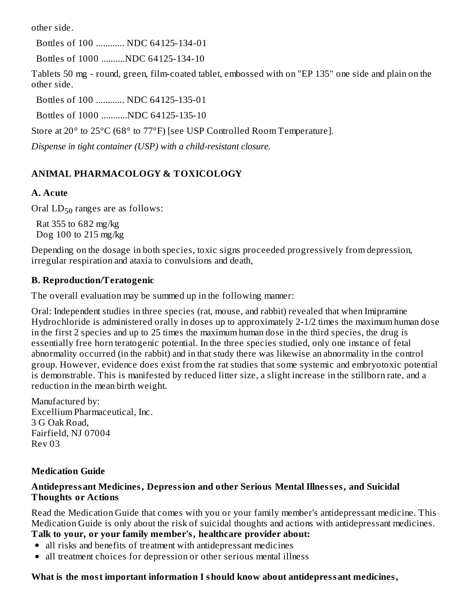other side.

Bottles of 100 ............ NDC 64125-134-01

Bottles of 1000 ..........NDC 64125-134-10

Tablets 50 mg - round, green, film-coated tablet, embossed with on "EP 135" one side and plain on the other side.

Bottles of 100 ............ NDC 64125-135-01

Bottles of 1000 ...........NDC 64125-135-10

Store at 20° to 25°C (68° to 77°F) [see USP Controlled Room Temperature].

*Dispense in tight container (USP) with a child-resistant closure.*

### **ANIMAL PHARMACOLOGY & TOXICOLOGY**

#### **A. Acute**

Oral  $LD_{50}$  ranges are as follows:

Rat 355 to 682 mg/kg Dog 100 to 215 mg/kg

Depending on the dosage in both species, toxic signs proceeded progressively from depression, irregular respiration and ataxia to convulsions and death,

#### **B. Reproduction/Teratogenic**

The overall evaluation may be summed up in the following manner:

Oral: Independent studies in three species (rat, mouse, and rabbit) revealed that when Imipramine Hydrochloride is administered orally in doses up to approximately 2-1/2 times the maximum human dose in the first 2 species and up to 25 times the maximum human dose in the third species, the drug is essentially free horn teratogenic potential. In the three species studied, only one instance of fetal abnormality occurred (in the rabbit) and in that study there was likewise an abnormality in the control group. However, evidence does exist from the rat studies that some systemic and embryotoxic potential is demonstrable. This is manifested by reduced litter size, a slight increase in the stillborn rate, and a reduction in the mean birth weight.

Manufactured by: Excellium Pharmaceutical, Inc. 3 G Oak Road, Fairfield, NJ 07004 Rev 03

#### **Medication Guide**

#### **Antidepressant Medicines, Depression and other Serious Mental Illness es, and Suicidal Thoughts or Actions**

Read the Medication Guide that comes with you or your family member's antidepressant medicine. This Medication Guide is only about the risk of suicidal thoughts and actions with antidepressant medicines. **Talk to your, or your family member's, healthcare provider about:**

- all risks and benefits of treatment with antidepressant medicines
- all treatment choices for depression or other serious mental illness

### **What is the most important information I should know about antidepressant medicines,**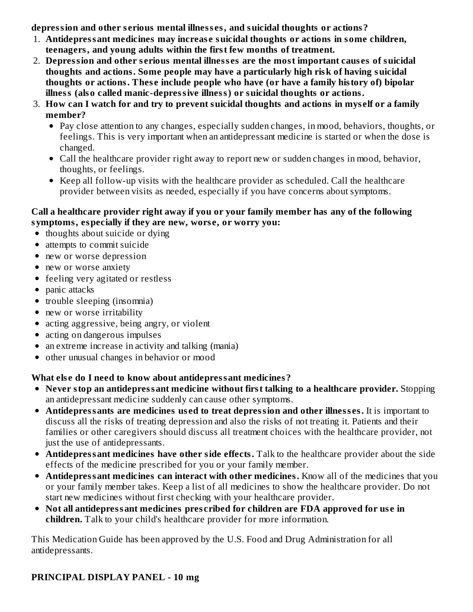**depression and other s erious mental illness es, and suicidal thoughts or actions?**

- 1. **Antidepressant medicines may increas e suicidal thoughts or actions in some children, teenagers, and young adults within the first few months of treatment.**
- 2. **Depression and other s erious mental illness es are the most important caus es of suicidal thoughts and actions. Some people may have a particularly high risk of having suicidal thoughts or actions. Thes e include people who have (or have a family history of) bipolar illness (also called manic-depressive illness) or suicidal thoughts or actions.**
- 3. How can I watch for and try to prevent suicidal thoughts and actions in myself or a family **member?**
	- Pay close attention to any changes, especially sudden changes, in mood, behaviors, thoughts, or feelings. This is very important when an antidepressant medicine is started or when the dose is changed.
	- Call the healthcare provider right away to report new or sudden changes in mood, behavior, thoughts, or feelings.
	- Keep all follow-up visits with the healthcare provider as scheduled. Call the healthcare provider between visits as needed, especially if you have concerns about symptoms.

#### **Call a healthcare provider right away if you or your family member has any of the following symptoms, especially if they are new, wors e, or worry you:**

- thoughts about suicide or dying
- attempts to commit suicide
- new or worse depression
- new or worse anxiety
- feeling very agitated or restless
- $\bullet$  panic attacks
- trouble sleeping (insomnia)
- new or worse irritability
- acting aggressive, being angry, or violent
- acting on dangerous impulses
- an extreme increase in activity and talking (mania)
- other unusual changes in behavior or mood

### **What els e do I need to know about antidepressant medicines?**

- **Never stop an antidepressant medicine without first talking to a healthcare provider.** Stopping an antidepressant medicine suddenly can cause other symptoms.
- **Antidepressants are medicines us ed to treat depression and other illness es.** It is important to discuss all the risks of treating depression and also the risks of not treating it. Patients and their families or other caregivers should discuss all treatment choices with the healthcare provider, not just the use of antidepressants.
- **Antidepressant medicines have other side effects.** Talk to the healthcare provider about the side effects of the medicine prescribed for you or your family member.
- **Antidepressant medicines can interact with other medicines.** Know all of the medicines that you or your family member takes. Keep a list of all medicines to show the healthcare provider. Do not start new medicines without first checking with your healthcare provider.
- **Not all antidepressant medicines pres cribed for children are FDA approved for us e in children.** Talk to your child's healthcare provider for more information.

This Medication Guide has been approved by the U.S. Food and Drug Administration for all antidepressants.

### **PRINCIPAL DISPLAY PANEL - 10 mg**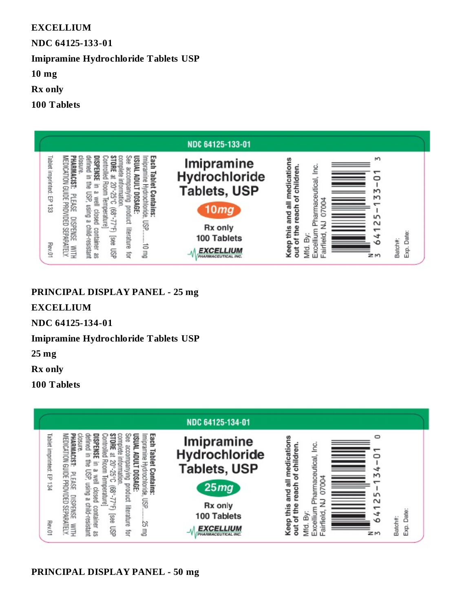#### **EXCELLIUM**

**NDC 64125-133-01**

#### **Imipramine Hydrochloride Tablets USP**

**10 mg**

**Rx only**

**100 Tablets**



#### **PRINCIPAL DISPLAY PANEL - 25 mg**

**EXCELLIUM**

**NDC 64125-134-01**

**Imipramine Hydrochloride Tablets USP**

**25 mg**

**Rx only**

**100 Tablets**

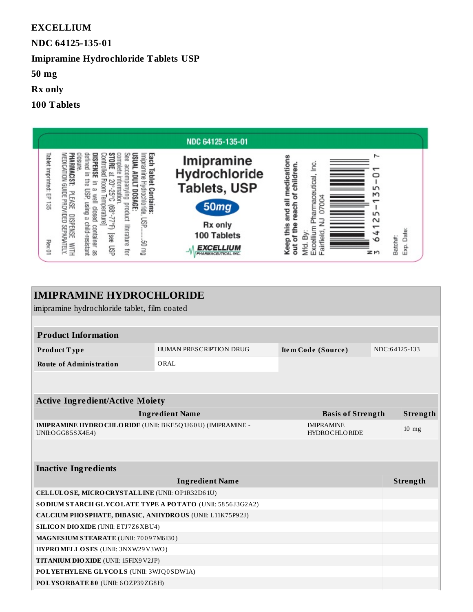## **EXCELLIUM**

**NDC 64125-135-01**

# **Imipramine Hydrochloride Tablets USP**

**50 mg**

**Rx only**

**100 Tablets**

|                                                                                                                                                                                                                                                                                                                                                                                                                                                                                                                                                                                                            | NDC 64125-135-01                                                                                                               |                                                                                                                                                                                                                                         |
|------------------------------------------------------------------------------------------------------------------------------------------------------------------------------------------------------------------------------------------------------------------------------------------------------------------------------------------------------------------------------------------------------------------------------------------------------------------------------------------------------------------------------------------------------------------------------------------------------------|--------------------------------------------------------------------------------------------------------------------------------|-----------------------------------------------------------------------------------------------------------------------------------------------------------------------------------------------------------------------------------------|
| Tablet imprinted:<br>defined<br>complete<br>PHARMACIST:<br>Each<br><b>Bunsor</b><br>DISPENSE<br>g<br>MEDICATION<br>STORE<br>mipramine Hydrochloride,<br>nsual<br>Controlled<br><b>Викивешосое</b><br>Taldet<br><b>ADULT</b><br>兽<br>5<br>information.<br>듷<br>Room<br>20°.<br>$\equiv$<br><b>GUIDE PROVIDED</b><br><b>Contains:</b><br>ş<br>DOSAGE:<br>⋼<br>ಜ್ಯ<br>PLEASE<br>띵<br>≦<br>Temperature<br><b>Oursn</b><br>ä<br>product<br>ඹි<br>closed<br>DISPENSE<br>ρú<br>FeF<br>Sn<br>child-resistant<br>literature<br><b>SEPARATELY</b><br>CONTAINE<br>Geg<br>Rev.01<br>bw og<br>WITH<br>H<br>5g<br>Ξ<br>읞 | Imipramine<br>Hydrochloride<br>Tablets, USP<br><b>50mg</b><br>Rx only<br>100 Tablets<br><b>(CELLIUM</b><br>PHARMACEUTICAL INC. | ∼<br>medications<br>Ξ<br>children<br>ᅮ<br>Pharmaceutical,<br>5<br>৳<br>M<br>ᇹ<br>0700<br>reach<br>and<br>5<br>N<br>Ź<br>₫<br>this<br>Excellium<br>Date:<br>ä<br>Fairfield,<br>ォ<br>৳<br>Batch#:<br>৩<br>Keep<br>Mfd.<br>Exp.<br>ă<br>ZM |

| <b>IMIPRAMINE HYDROCHLORIDE</b>                                                |                                                           |                                           |                          |  |          |  |  |
|--------------------------------------------------------------------------------|-----------------------------------------------------------|-------------------------------------------|--------------------------|--|----------|--|--|
| imipramine hydrochloride tablet, film coated                                   |                                                           |                                           |                          |  |          |  |  |
|                                                                                |                                                           |                                           |                          |  |          |  |  |
| <b>Product Information</b>                                                     |                                                           |                                           |                          |  |          |  |  |
| Product Type                                                                   | HUMAN PRESCRIPTION DRUG<br>Item Code (Source)             |                                           |                          |  |          |  |  |
| <b>Route of Administration</b>                                                 | ORAL                                                      |                                           |                          |  |          |  |  |
|                                                                                |                                                           |                                           |                          |  |          |  |  |
|                                                                                |                                                           |                                           |                          |  |          |  |  |
| <b>Active Ingredient/Active Moiety</b>                                         |                                                           |                                           |                          |  |          |  |  |
|                                                                                | <b>Ingredient Name</b>                                    |                                           | <b>Basis of Strength</b> |  | Strength |  |  |
| IMIPRAMINE HYDRO CHLORIDE (UNII: BKE5Q1J60U) (IMIPRAMINE -<br>UNII:OGG85SX4E4) |                                                           | <b>IMIPRAMINE</b><br><b>HYDROCHLORIDE</b> |                          |  | $10$ mg  |  |  |
|                                                                                |                                                           |                                           |                          |  |          |  |  |
|                                                                                |                                                           |                                           |                          |  |          |  |  |
| <b>Inactive Ingredients</b>                                                    |                                                           |                                           |                          |  |          |  |  |
| <b>Ingredient Name</b>                                                         |                                                           |                                           |                          |  | Strength |  |  |
| CELLULOSE, MICRO CRYSTALLINE (UNII: OP1R32D61U)                                |                                                           |                                           |                          |  |          |  |  |
|                                                                                | SO DIUM STARCH GLYCOLATE TYPE A POTATO (UNII: 5856J3G2A2) |                                           |                          |  |          |  |  |
| CALCIUM PHO SPHATE, DIBASIC, ANHYDROUS (UNII: L11K75P92J)                      |                                                           |                                           |                          |  |          |  |  |
| <b>SILICON DIO XIDE (UNII: ETJ7Z6 XBU4)</b>                                    |                                                           |                                           |                          |  |          |  |  |
| MAGNESIUM STEARATE (UNII: 70097M6I30)                                          |                                                           |                                           |                          |  |          |  |  |
| HYPROMELLOSES (UNII: 3NXW29V3WO)                                               |                                                           |                                           |                          |  |          |  |  |
| TITANIUM DIO XIDE (UNII: 15FIX9V2JP)                                           |                                                           |                                           |                          |  |          |  |  |
| POLYETHYLENE GLYCOLS (UNII: 3WJQ0SDW1A)                                        |                                                           |                                           |                          |  |          |  |  |
| POLYSORBATE 80 (UNII: 6OZP39ZG8H)                                              |                                                           |                                           |                          |  |          |  |  |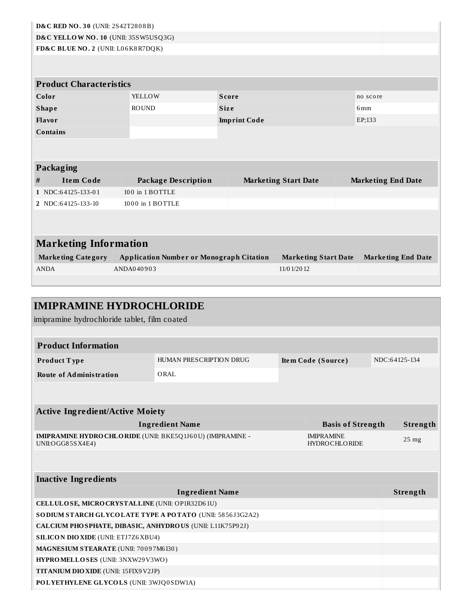| D&C RED NO. 30 (UNII: 2S42T2808B)                                              |                                                 |                  |                                                 |                             |                                           |                             |                 |                           |
|--------------------------------------------------------------------------------|-------------------------------------------------|------------------|-------------------------------------------------|-----------------------------|-------------------------------------------|-----------------------------|-----------------|---------------------------|
| D&C YELLOW NO. 10 (UNII: 35SW5USQ3G)                                           |                                                 |                  |                                                 |                             |                                           |                             |                 |                           |
|                                                                                | FD&C BLUE NO. 2 (UNII: L06K8R7DQK)              |                  |                                                 |                             |                                           |                             |                 |                           |
|                                                                                |                                                 |                  |                                                 |                             |                                           |                             |                 |                           |
|                                                                                | <b>Product Characteristics</b>                  |                  |                                                 |                             |                                           |                             |                 |                           |
| Color                                                                          |                                                 | YELLOW           |                                                 | <b>Score</b>                |                                           |                             | no score        |                           |
| <b>Shape</b>                                                                   |                                                 | <b>ROUND</b>     |                                                 | <b>Size</b>                 |                                           |                             | 6 <sub>mm</sub> |                           |
| Flavor                                                                         |                                                 |                  |                                                 | <b>Imprint Code</b>         |                                           |                             | EP:133          |                           |
| <b>Contains</b>                                                                |                                                 |                  |                                                 |                             |                                           |                             |                 |                           |
|                                                                                |                                                 |                  |                                                 |                             |                                           |                             |                 |                           |
|                                                                                | Packaging                                       |                  |                                                 |                             |                                           |                             |                 |                           |
| #                                                                              | <b>Item Code</b>                                |                  | <b>Package Description</b>                      | <b>Marketing Start Date</b> |                                           |                             |                 | <b>Marketing End Date</b> |
|                                                                                | 1 NDC:64125-133-01                              | 100 in 1 BOTTLE  |                                                 |                             |                                           |                             |                 |                           |
|                                                                                | 2 NDC:64125-133-10                              | 1000 in 1 BOTTLE |                                                 |                             |                                           |                             |                 |                           |
|                                                                                |                                                 |                  |                                                 |                             |                                           |                             |                 |                           |
|                                                                                |                                                 |                  |                                                 |                             |                                           |                             |                 |                           |
|                                                                                | <b>Marketing Information</b>                    |                  |                                                 |                             |                                           |                             |                 |                           |
|                                                                                | <b>Marketing Category</b>                       |                  | <b>Application Number or Monograph Citation</b> |                             |                                           | <b>Marketing Start Date</b> |                 | <b>Marketing End Date</b> |
| <b>ANDA</b>                                                                    |                                                 | ANDA040903       |                                                 |                             | 11/0 1/20 12                              |                             |                 |                           |
|                                                                                |                                                 |                  |                                                 |                             |                                           |                             |                 |                           |
|                                                                                |                                                 |                  |                                                 |                             |                                           |                             |                 |                           |
|                                                                                | <b>IMIPRAMINE HYDROCHLORIDE</b>                 |                  |                                                 |                             |                                           |                             |                 |                           |
|                                                                                | imipramine hydrochloride tablet, film coated    |                  |                                                 |                             |                                           |                             |                 |                           |
|                                                                                |                                                 |                  |                                                 |                             |                                           |                             |                 |                           |
|                                                                                | <b>Product Information</b>                      |                  |                                                 |                             |                                           |                             |                 |                           |
|                                                                                | Product Type                                    |                  | HUMAN PRESCRIPTION DRUG                         |                             |                                           | Item Code (Source)          |                 | NDC:64125-134             |
|                                                                                | <b>Route of Administration</b>                  |                  | ORAL                                            |                             |                                           |                             |                 |                           |
|                                                                                |                                                 |                  |                                                 |                             |                                           |                             |                 |                           |
|                                                                                |                                                 |                  |                                                 |                             |                                           |                             |                 |                           |
|                                                                                | <b>Active Ingredient/Active Moiety</b>          |                  |                                                 |                             |                                           |                             |                 |                           |
| <b>Ingredient Name</b>                                                         |                                                 |                  |                                                 | <b>Basis of Strength</b>    |                                           | Strength                    |                 |                           |
| IMIPRAMINE HYDRO CHLORIDE (UNII: BKE5Q1J60U) (IMIPRAMINE -<br>UNII:OGG85SX4E4) |                                                 |                  |                                                 |                             | <b>IMIPRAMINE</b><br><b>HYDROCHLORIDE</b> |                             | 25 mg           |                           |
|                                                                                |                                                 |                  |                                                 |                             |                                           |                             |                 |                           |
|                                                                                |                                                 |                  |                                                 |                             |                                           |                             |                 |                           |
|                                                                                | <b>Inactive Ingredients</b>                     |                  |                                                 |                             |                                           |                             |                 |                           |
|                                                                                |                                                 |                  | <b>Ingredient Name</b>                          |                             |                                           |                             |                 | Strength                  |
|                                                                                | CELLULOSE, MICRO CRYSTALLINE (UNII: OP1R32D61U) |                  |                                                 |                             |                                           |                             |                 |                           |

| Ingredient Name                                                   | Strength |  |  |  |
|-------------------------------------------------------------------|----------|--|--|--|
| CELLULOSE, MICRO CRYSTALLINE (UNII: OP1R32D61U)                   |          |  |  |  |
| <b>SODIUM STARCH GLYCOLATE TYPE A POTATO (UNII: 5856J3G2A2)</b>   |          |  |  |  |
| <b>CALCIUM PHO SPHATE, DIBASIC, ANHYDRO US (UNII: L11K75P92J)</b> |          |  |  |  |
| <b>SILICON DIO XIDE (UNII: ETJ7Z6 XBU4)</b>                       |          |  |  |  |
| <b>MAGNESIUM STEARATE (UNII: 70097M6I30)</b>                      |          |  |  |  |
| <b>HYPROMELLOSES</b> (UNII: 3NXW29V3WO)                           |          |  |  |  |
| <b>TITANIUM DIO XIDE</b> (UNII: 15FIX9 V2JP)                      |          |  |  |  |
| POLYETHYLENE GLYCOLS (UNII: 3WJQ0SDW1A)                           |          |  |  |  |
|                                                                   |          |  |  |  |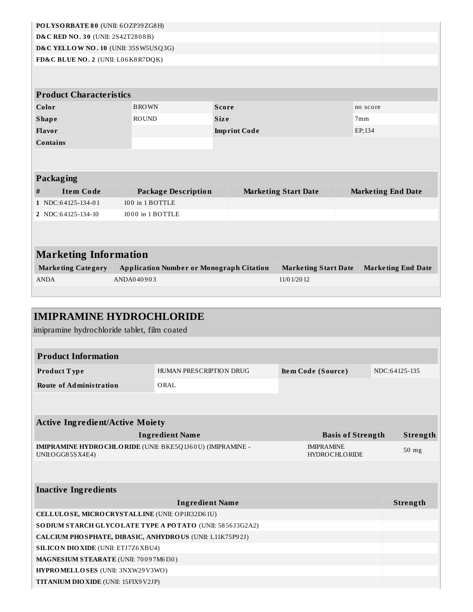|                                                                                      | POLYSORBATE 80 (UNII: 6OZP39ZG8H)               |                     |                             |                          |                           |  |  |
|--------------------------------------------------------------------------------------|-------------------------------------------------|---------------------|-----------------------------|--------------------------|---------------------------|--|--|
| D&C RED NO. 30 (UNII: 2S42T2808B)                                                    |                                                 |                     |                             |                          |                           |  |  |
| D&C YELLOW NO. 10 (UNII: 35SW5USQ3G)                                                 |                                                 |                     |                             |                          |                           |  |  |
| FD&C BLUE NO. 2 (UNII: L06K8R7DQK)                                                   |                                                 |                     |                             |                          |                           |  |  |
|                                                                                      |                                                 |                     |                             |                          |                           |  |  |
|                                                                                      |                                                 |                     |                             |                          |                           |  |  |
| <b>Product Characteristics</b>                                                       |                                                 |                     |                             |                          |                           |  |  |
| Color                                                                                | <b>BROWN</b>                                    | <b>Score</b>        |                             | no score                 |                           |  |  |
| <b>Shape</b>                                                                         | ROUND                                           | <b>Size</b>         |                             | 7mm                      |                           |  |  |
| <b>Flavor</b>                                                                        |                                                 | <b>Imprint Code</b> |                             | EP;134                   |                           |  |  |
| <b>Contains</b>                                                                      |                                                 |                     |                             |                          |                           |  |  |
|                                                                                      |                                                 |                     |                             |                          |                           |  |  |
|                                                                                      |                                                 |                     |                             |                          |                           |  |  |
| Packaging                                                                            |                                                 |                     |                             |                          |                           |  |  |
| <b>Item Code</b><br>#                                                                | <b>Package Description</b>                      |                     | <b>Marketing Start Date</b> |                          | <b>Marketing End Date</b> |  |  |
| 1 NDC:64125-134-01                                                                   | 100 in 1 BOTTLE                                 |                     |                             |                          |                           |  |  |
| 2 NDC:64125-134-10                                                                   | 1000 in 1 BOTTLE                                |                     |                             |                          |                           |  |  |
|                                                                                      |                                                 |                     |                             |                          |                           |  |  |
|                                                                                      |                                                 |                     |                             |                          |                           |  |  |
|                                                                                      |                                                 |                     |                             |                          |                           |  |  |
| <b>Marketing Information</b>                                                         |                                                 |                     |                             |                          |                           |  |  |
| <b>Marketing Category</b>                                                            | <b>Application Number or Monograph Citation</b> |                     | <b>Marketing Start Date</b> |                          | <b>Marketing End Date</b> |  |  |
| <b>ANDA</b>                                                                          | ANDA040903                                      |                     | 11/0 1/20 12                |                          |                           |  |  |
|                                                                                      |                                                 |                     |                             |                          |                           |  |  |
|                                                                                      |                                                 |                     |                             |                          |                           |  |  |
|                                                                                      |                                                 |                     |                             |                          |                           |  |  |
|                                                                                      |                                                 |                     |                             |                          |                           |  |  |
| <b>IMIPRAMINE HYDROCHLORIDE</b>                                                      |                                                 |                     |                             |                          |                           |  |  |
| imipramine hydrochloride tablet, film coated                                         |                                                 |                     |                             |                          |                           |  |  |
|                                                                                      |                                                 |                     |                             |                          |                           |  |  |
| <b>Product Information</b>                                                           |                                                 |                     |                             |                          |                           |  |  |
| Product Type                                                                         | HUMAN PRESCRIPTION DRUG                         |                     | Item Code (Source)          |                          | NDC:64125-135             |  |  |
| <b>Route of Administration</b>                                                       | ORAL                                            |                     |                             |                          |                           |  |  |
|                                                                                      |                                                 |                     |                             |                          |                           |  |  |
|                                                                                      |                                                 |                     |                             |                          |                           |  |  |
|                                                                                      |                                                 |                     |                             |                          |                           |  |  |
| <b>Active Ingredient/Active Moiety</b>                                               |                                                 |                     |                             |                          |                           |  |  |
|                                                                                      | <b>Ingredient Name</b>                          |                     |                             | <b>Basis of Strength</b> | Strength                  |  |  |
| IMIPRAMINE HYDRO CHLORIDE (UNII: BKE5Q1J60U) (IMIPRAMINE -<br>UNII:OGG85SX4E4)       |                                                 |                     | <b>IMIPRAMINE</b>           | <b>HYDROCHLORIDE</b>     | 50 mg                     |  |  |
|                                                                                      |                                                 |                     |                             |                          |                           |  |  |
|                                                                                      |                                                 |                     |                             |                          |                           |  |  |
|                                                                                      |                                                 |                     |                             |                          |                           |  |  |
| <b>Inactive Ingredients</b>                                                          |                                                 |                     |                             |                          |                           |  |  |
|                                                                                      | <b>Ingredient Name</b>                          |                     |                             |                          | Strength                  |  |  |
| CELLULOSE, MICRO CRYSTALLINE (UNII: OP1R32D61U)                                      |                                                 |                     |                             |                          |                           |  |  |
| SO DIUM STARCH GLYCOLATE TYPE A POTATO (UNII: 5856J3G2A2)                            |                                                 |                     |                             |                          |                           |  |  |
| CALCIUM PHO SPHATE, DIBASIC, ANHYDROUS (UNII: L11K75P92J)                            |                                                 |                     |                             |                          |                           |  |  |
| <b>SILICON DIO XIDE (UNII: ETJ7Z6 XBU4)</b><br>MAGNESIUM STEARATE (UNII: 70097M6I30) |                                                 |                     |                             |                          |                           |  |  |

**TITANIUM DIOXIDE** (UNII: 15FIX9V2JP)